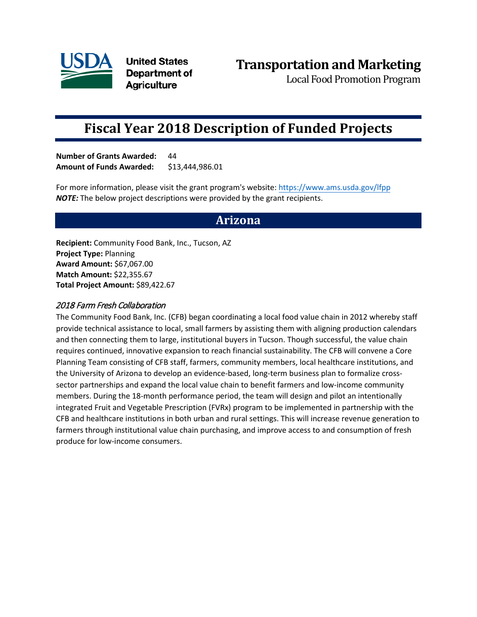

**United States** Department of **Agriculture** 

Local Food Promotion Program

# **Fiscal Year 2018 Description of Funded Projects**

**Number of Grants Awarded:** 44 **Amount of Funds Awarded:** \$13,444,986.01

For more information, please visit the grant program's website: <https://www.ams.usda.gov/lfpp> *NOTE:* The below project descriptions were provided by the grant recipients.

# **Arizona**

**Recipient:** Community Food Bank, Inc., Tucson, AZ **Project Type:** Planning **Award Amount:** \$67,067.00 **Match Amount:** \$22,355.67 **Total Project Amount:** \$89,422.67

### 2018 Farm Fresh Collaboration

The Community Food Bank, Inc. (CFB) began coordinating a local food value chain in 2012 whereby staff provide technical assistance to local, small farmers by assisting them with aligning production calendars and then connecting them to large, institutional buyers in Tucson. Though successful, the value chain requires continued, innovative expansion to reach financial sustainability. The CFB will convene a Core Planning Team consisting of CFB staff, farmers, community members, local healthcare institutions, and the University of Arizona to develop an evidence-based, long-term business plan to formalize crosssector partnerships and expand the local value chain to benefit farmers and low-income community members. During the 18-month performance period, the team will design and pilot an intentionally integrated Fruit and Vegetable Prescription (FVRx) program to be implemented in partnership with the CFB and healthcare institutions in both urban and rural settings. This will increase revenue generation to farmers through institutional value chain purchasing, and improve access to and consumption of fresh produce for low-income consumers.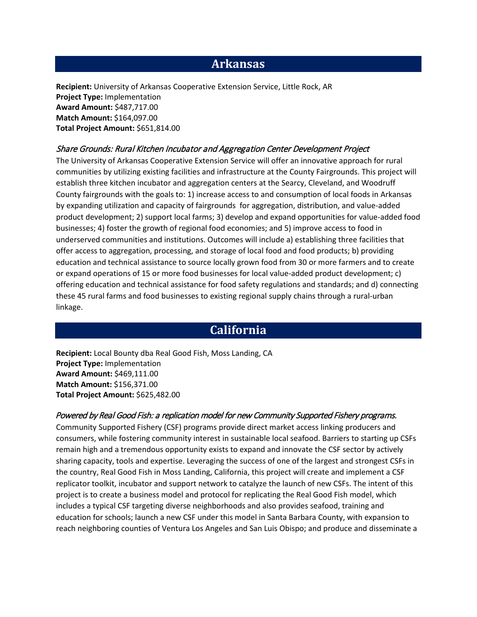## **Arkansas**

**Recipient:** University of Arkansas Cooperative Extension Service, Little Rock, AR **Project Type:** Implementation **Award Amount:** \$487,717.00 **Match Amount:** \$164,097.00 **Total Project Amount:** \$651,814.00

#### Share Grounds: Rural Kitchen Incubator and Aggregation Center Development Project

The University of Arkansas Cooperative Extension Service will offer an innovative approach for rural communities by utilizing existing facilities and infrastructure at the County Fairgrounds. This project will establish three kitchen incubator and aggregation centers at the Searcy, Cleveland, and Woodruff County fairgrounds with the goals to: 1) increase access to and consumption of local foods in Arkansas by expanding utilization and capacity of fairgrounds for aggregation, distribution, and value-added product development; 2) support local farms; 3) develop and expand opportunities for value-added food businesses; 4) foster the growth of regional food economies; and 5) improve access to food in underserved communities and institutions. Outcomes will include a) establishing three facilities that offer access to aggregation, processing, and storage of local food and food products; b) providing education and technical assistance to source locally grown food from 30 or more farmers and to create or expand operations of 15 or more food businesses for local value-added product development; c) offering education and technical assistance for food safety regulations and standards; and d) connecting these 45 rural farms and food businesses to existing regional supply chains through a rural-urban linkage.

# **California**

**Recipient:** Local Bounty dba Real Good Fish, Moss Landing, CA **Project Type:** Implementation **Award Amount:** \$469,111.00 **Match Amount:** \$156,371.00 **Total Project Amount:** \$625,482.00

#### Powered by Real Good Fish: a replication model for new Community Supported Fishery programs.

Community Supported Fishery (CSF) programs provide direct market access linking producers and consumers, while fostering community interest in sustainable local seafood. Barriers to starting up CSFs remain high and a tremendous opportunity exists to expand and innovate the CSF sector by actively sharing capacity, tools and expertise. Leveraging the success of one of the largest and strongest CSFs in the country, Real Good Fish in Moss Landing, California, this project will create and implement a CSF replicator toolkit, incubator and support network to catalyze the launch of new CSFs. The intent of this project is to create a business model and protocol for replicating the Real Good Fish model, which includes a typical CSF targeting diverse neighborhoods and also provides seafood, training and education for schools; launch a new CSF under this model in Santa Barbara County, with expansion to reach neighboring counties of Ventura Los Angeles and San Luis Obispo; and produce and disseminate a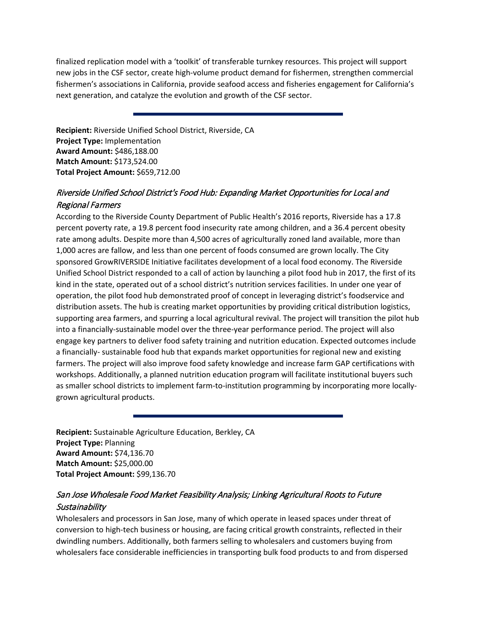finalized replication model with a 'toolkit' of transferable turnkey resources. This project will support new jobs in the CSF sector, create high-volume product demand for fishermen, strengthen commercial fishermen's associations in California, provide seafood access and fisheries engagement for California's next generation, and catalyze the evolution and growth of the CSF sector.

**Recipient:** Riverside Unified School District, Riverside, CA **Project Type:** Implementation **Award Amount:** \$486,188.00 **Match Amount:** \$173,524.00 **Total Project Amount:** \$659,712.00

## Riverside Unified School District's Food Hub: Expanding Market Opportunities for Local and Regional Farmers

According to the Riverside County Department of Public Health's 2016 reports, Riverside has a 17.8 percent poverty rate, a 19.8 percent food insecurity rate among children, and a 36.4 percent obesity rate among adults. Despite more than 4,500 acres of agriculturally zoned land available, more than 1,000 acres are fallow, and less than one percent of foods consumed are grown locally. The City sponsored GrowRIVERSIDE Initiative facilitates development of a local food economy. The Riverside Unified School District responded to a call of action by launching a pilot food hub in 2017, the first of its kind in the state, operated out of a school district's nutrition services facilities. In under one year of operation, the pilot food hub demonstrated proof of concept in leveraging district's foodservice and distribution assets. The hub is creating market opportunities by providing critical distribution logistics, supporting area farmers, and spurring a local agricultural revival. The project will transition the pilot hub into a financially-sustainable model over the three-year performance period. The project will also engage key partners to deliver food safety training and nutrition education. Expected outcomes include a financially- sustainable food hub that expands market opportunities for regional new and existing farmers. The project will also improve food safety knowledge and increase farm GAP certifications with workshops. Additionally, a planned nutrition education program will facilitate institutional buyers such as smaller school districts to implement farm-to-institution programming by incorporating more locallygrown agricultural products.

**Recipient:** Sustainable Agriculture Education, Berkley, CA **Project Type:** Planning **Award Amount:** \$74,136.70 **Match Amount:** \$25,000.00 **Total Project Amount:** \$99,136.70

### San Jose Wholesale Food Market Feasibility Analysis; Linking Agricultural Roots to Future Sustainability

Wholesalers and processors in San Jose, many of which operate in leased spaces under threat of conversion to high-tech business or housing, are facing critical growth constraints, reflected in their dwindling numbers. Additionally, both farmers selling to wholesalers and customers buying from wholesalers face considerable inefficiencies in transporting bulk food products to and from dispersed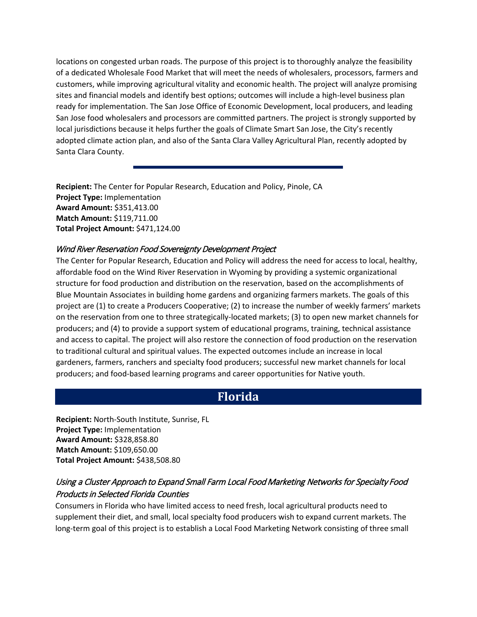locations on congested urban roads. The purpose of this project is to thoroughly analyze the feasibility of a dedicated Wholesale Food Market that will meet the needs of wholesalers, processors, farmers and customers, while improving agricultural vitality and economic health. The project will analyze promising sites and financial models and identify best options; outcomes will include a high-level business plan ready for implementation. The San Jose Office of Economic Development, local producers, and leading San Jose food wholesalers and processors are committed partners. The project is strongly supported by local jurisdictions because it helps further the goals of Climate Smart San Jose, the City's recently adopted climate action plan, and also of the Santa Clara Valley Agricultural Plan, recently adopted by Santa Clara County.

**Recipient:** The Center for Popular Research, Education and Policy, Pinole, CA **Project Type:** Implementation **Award Amount:** \$351,413.00 **Match Amount:** \$119,711.00 **Total Project Amount:** \$471,124.00

### Wind River Reservation Food Sovereignty Development Project

The Center for Popular Research, Education and Policy will address the need for access to local, healthy, affordable food on the Wind River Reservation in Wyoming by providing a systemic organizational structure for food production and distribution on the reservation, based on the accomplishments of Blue Mountain Associates in building home gardens and organizing farmers markets. The goals of this project are (1) to create a Producers Cooperative; (2) to increase the number of weekly farmers' markets on the reservation from one to three strategically-located markets; (3) to open new market channels for producers; and (4) to provide a support system of educational programs, training, technical assistance and access to capital. The project will also restore the connection of food production on the reservation to traditional cultural and spiritual values. The expected outcomes include an increase in local gardeners, farmers, ranchers and specialty food producers; successful new market channels for local producers; and food-based learning programs and career opportunities for Native youth.

# **Florida**

**Recipient:** North-South Institute, Sunrise, FL **Project Type:** Implementation **Award Amount:** \$328,858.80 **Match Amount:** \$109,650.00 **Total Project Amount:** \$438,508.80

### Using a Cluster Approach to Expand Small Farm Local Food Marketing Networks for Specialty Food Products in Selected Florida Counties

Consumers in Florida who have limited access to need fresh, local agricultural products need to supplement their diet, and small, local specialty food producers wish to expand current markets. The long-term goal of this project is to establish a Local Food Marketing Network consisting of three small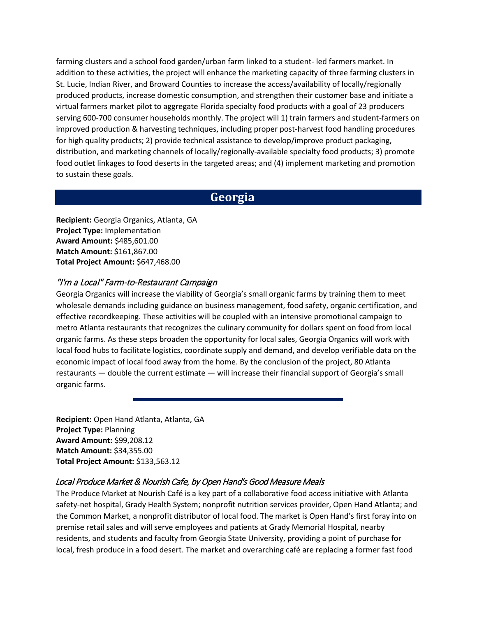farming clusters and a school food garden/urban farm linked to a student- led farmers market. In addition to these activities, the project will enhance the marketing capacity of three farming clusters in St. Lucie, Indian River, and Broward Counties to increase the access/availability of locally/regionally produced products, increase domestic consumption, and strengthen their customer base and initiate a virtual farmers market pilot to aggregate Florida specialty food products with a goal of 23 producers serving 600-700 consumer households monthly. The project will 1) train farmers and student-farmers on improved production & harvesting techniques, including proper post-harvest food handling procedures for high quality products; 2) provide technical assistance to develop/improve product packaging, distribution, and marketing channels of locally/regionally-available specialty food products; 3) promote food outlet linkages to food deserts in the targeted areas; and (4) implement marketing and promotion to sustain these goals.

## **Georgia**

**Recipient:** Georgia Organics, Atlanta, GA **Project Type:** Implementation **Award Amount:** \$485,601.00 **Match Amount:** \$161,867.00 **Total Project Amount:** \$647,468.00

### "I'm a Local" Farm-to-Restaurant Campaign

Georgia Organics will increase the viability of Georgia's small organic farms by training them to meet wholesale demands including guidance on business management, food safety, organic certification, and effective recordkeeping. These activities will be coupled with an intensive promotional campaign to metro Atlanta restaurants that recognizes the culinary community for dollars spent on food from local organic farms. As these steps broaden the opportunity for local sales, Georgia Organics will work with local food hubs to facilitate logistics, coordinate supply and demand, and develop verifiable data on the economic impact of local food away from the home. By the conclusion of the project, 80 Atlanta restaurants — double the current estimate — will increase their financial support of Georgia's small organic farms.

**Recipient:** Open Hand Atlanta, Atlanta, GA **Project Type:** Planning **Award Amount:** \$99,208.12 **Match Amount:** \$34,355.00 **Total Project Amount:** \$133,563.12

### Local Produce Market & Nourish Cafe, by Open Hand's Good Measure Meals

The Produce Market at Nourish Café is a key part of a collaborative food access initiative with Atlanta safety-net hospital, Grady Health System; nonprofit nutrition services provider, Open Hand Atlanta; and the Common Market, a nonprofit distributor of local food. The market is Open Hand's first foray into on premise retail sales and will serve employees and patients at Grady Memorial Hospital, nearby residents, and students and faculty from Georgia State University, providing a point of purchase for local, fresh produce in a food desert. The market and overarching café are replacing a former fast food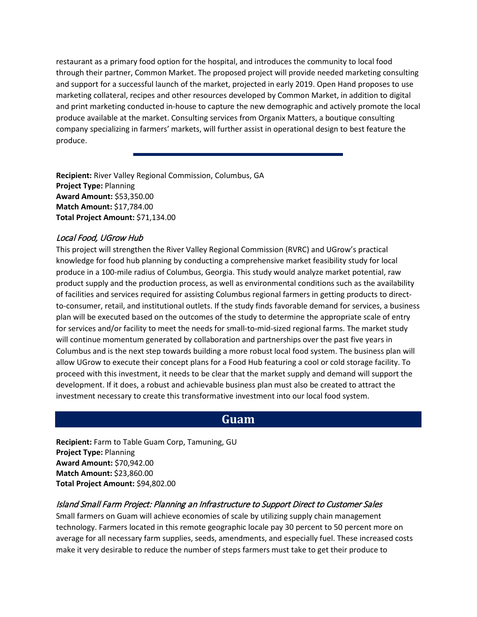restaurant as a primary food option for the hospital, and introduces the community to local food through their partner, Common Market. The proposed project will provide needed marketing consulting and support for a successful launch of the market, projected in early 2019. Open Hand proposes to use marketing collateral, recipes and other resources developed by Common Market, in addition to digital and print marketing conducted in-house to capture the new demographic and actively promote the local produce available at the market. Consulting services from Organix Matters, a boutique consulting company specializing in farmers' markets, will further assist in operational design to best feature the produce.

**Recipient:** River Valley Regional Commission, Columbus, GA **Project Type:** Planning **Award Amount:** \$53,350.00 **Match Amount:** \$17,784.00 **Total Project Amount:** \$71,134.00

### Local Food, UGrow Hub

This project will strengthen the River Valley Regional Commission (RVRC) and UGrow's practical knowledge for food hub planning by conducting a comprehensive market feasibility study for local produce in a 100-mile radius of Columbus, Georgia. This study would analyze market potential, raw product supply and the production process, as well as environmental conditions such as the availability of facilities and services required for assisting Columbus regional farmers in getting products to directto-consumer, retail, and institutional outlets. If the study finds favorable demand for services, a business plan will be executed based on the outcomes of the study to determine the appropriate scale of entry for services and/or facility to meet the needs for small-to-mid-sized regional farms. The market study will continue momentum generated by collaboration and partnerships over the past five years in Columbus and is the next step towards building a more robust local food system. The business plan will allow UGrow to execute their concept plans for a Food Hub featuring a cool or cold storage facility. To proceed with this investment, it needs to be clear that the market supply and demand will support the development. If it does, a robust and achievable business plan must also be created to attract the investment necessary to create this transformative investment into our local food system.

## **Guam**

**Recipient:** Farm to Table Guam Corp, Tamuning, GU **Project Type:** Planning **Award Amount:** \$70,942.00 **Match Amount:** \$23,860.00 **Total Project Amount:** \$94,802.00

### Island Small Farm Project: Planning an Infrastructure to Support Direct to Customer Sales

Small farmers on Guam will achieve economies of scale by utilizing supply chain management technology. Farmers located in this remote geographic locale pay 30 percent to 50 percent more on average for all necessary farm supplies, seeds, amendments, and especially fuel. These increased costs make it very desirable to reduce the number of steps farmers must take to get their produce to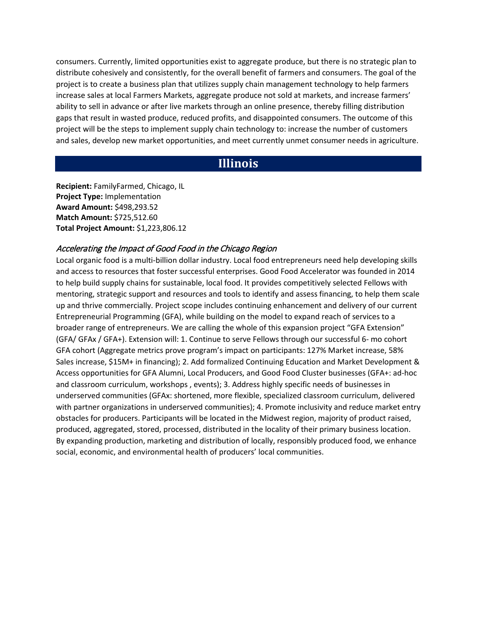consumers. Currently, limited opportunities exist to aggregate produce, but there is no strategic plan to distribute cohesively and consistently, for the overall benefit of farmers and consumers. The goal of the project is to create a business plan that utilizes supply chain management technology to help farmers increase sales at local Farmers Markets, aggregate produce not sold at markets, and increase farmers' ability to sell in advance or after live markets through an online presence, thereby filling distribution gaps that result in wasted produce, reduced profits, and disappointed consumers. The outcome of this project will be the steps to implement supply chain technology to: increase the number of customers and sales, develop new market opportunities, and meet currently unmet consumer needs in agriculture.

# **Illinois**

**Recipient:** FamilyFarmed, Chicago, IL **Project Type:** Implementation **Award Amount:** \$498,293.52 **Match Amount:** \$725,512.60 **Total Project Amount:** \$1,223,806.12

#### Accelerating the Impact of Good Food in the Chicago Region

Local organic food is a multi-billion dollar industry. Local food entrepreneurs need help developing skills and access to resources that foster successful enterprises. Good Food Accelerator was founded in 2014 to help build supply chains for sustainable, local food. It provides competitively selected Fellows with mentoring, strategic support and resources and tools to identify and assess financing, to help them scale up and thrive commercially. Project scope includes continuing enhancement and delivery of our current Entrepreneurial Programming (GFA), while building on the model to expand reach of services to a broader range of entrepreneurs. We are calling the whole of this expansion project "GFA Extension" (GFA/ GFAx / GFA+). Extension will: 1. Continue to serve Fellows through our successful 6- mo cohort GFA cohort (Aggregate metrics prove program's impact on participants: 127% Market increase, 58% Sales increase, \$15M+ in financing); 2. Add formalized Continuing Education and Market Development & Access opportunities for GFA Alumni, Local Producers, and Good Food Cluster businesses (GFA+: ad-hoc and classroom curriculum, workshops , events); 3. Address highly specific needs of businesses in underserved communities (GFAx: shortened, more flexible, specialized classroom curriculum, delivered with partner organizations in underserved communities); 4. Promote inclusivity and reduce market entry obstacles for producers. Participants will be located in the Midwest region, majority of product raised, produced, aggregated, stored, processed, distributed in the locality of their primary business location. By expanding production, marketing and distribution of locally, responsibly produced food, we enhance social, economic, and environmental health of producers' local communities.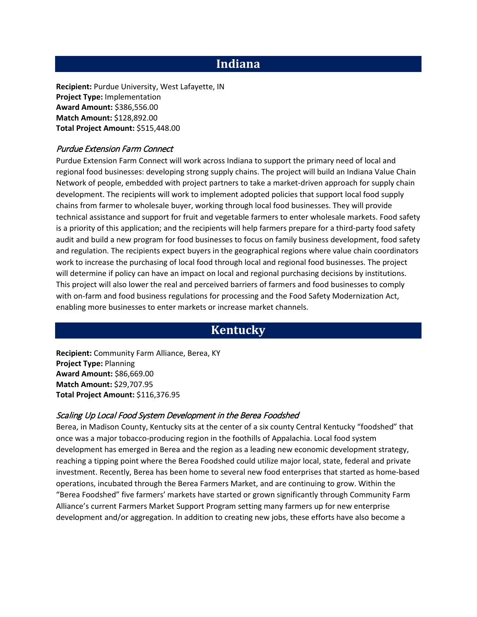# **Indiana**

**Recipient:** Purdue University, West Lafayette, IN **Project Type:** Implementation **Award Amount:** \$386,556.00 **Match Amount:** \$128,892.00 **Total Project Amount:** \$515,448.00

#### Purdue Extension Farm Connect

Purdue Extension Farm Connect will work across Indiana to support the primary need of local and regional food businesses: developing strong supply chains. The project will build an Indiana Value Chain Network of people, embedded with project partners to take a market-driven approach for supply chain development. The recipients will work to implement adopted policies that support local food supply chains from farmer to wholesale buyer, working through local food businesses. They will provide technical assistance and support for fruit and vegetable farmers to enter wholesale markets. Food safety is a priority of this application; and the recipients will help farmers prepare for a third-party food safety audit and build a new program for food businesses to focus on family business development, food safety and regulation. The recipients expect buyers in the geographical regions where value chain coordinators work to increase the purchasing of local food through local and regional food businesses. The project will determine if policy can have an impact on local and regional purchasing decisions by institutions. This project will also lower the real and perceived barriers of farmers and food businesses to comply with on-farm and food business regulations for processing and the Food Safety Modernization Act, enabling more businesses to enter markets or increase market channels.

# **Kentucky**

**Recipient:** Community Farm Alliance, Berea, KY **Project Type:** Planning **Award Amount:** \$86,669.00 **Match Amount:** \$29,707.95 **Total Project Amount:** \$116,376.95

### Scaling Up Local Food System Development in the Berea Foodshed

Berea, in Madison County, Kentucky sits at the center of a six county Central Kentucky "foodshed" that once was a major tobacco-producing region in the foothills of Appalachia. Local food system development has emerged in Berea and the region as a leading new economic development strategy, reaching a tipping point where the Berea Foodshed could utilize major local, state, federal and private investment. Recently, Berea has been home to several new food enterprises that started as home-based operations, incubated through the Berea Farmers Market, and are continuing to grow. Within the "Berea Foodshed" five farmers' markets have started or grown significantly through Community Farm Alliance's current Farmers Market Support Program setting many farmers up for new enterprise development and/or aggregation. In addition to creating new jobs, these efforts have also become a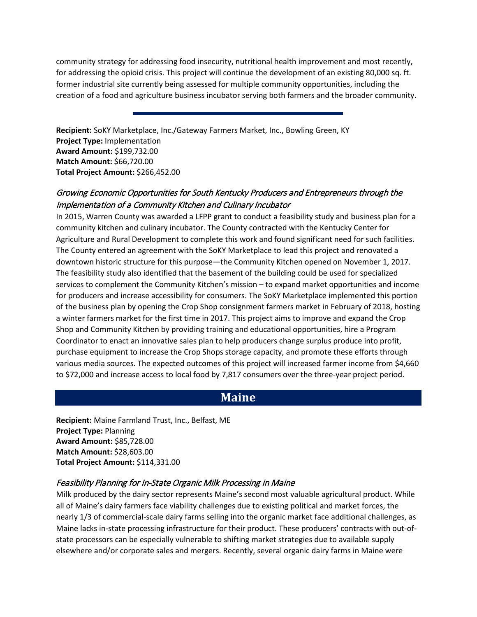community strategy for addressing food insecurity, nutritional health improvement and most recently, for addressing the opioid crisis. This project will continue the development of an existing 80,000 sq. ft. former industrial site currently being assessed for multiple community opportunities, including the creation of a food and agriculture business incubator serving both farmers and the broader community.

**Recipient:** SoKY Marketplace, Inc./Gateway Farmers Market, Inc., Bowling Green, KY **Project Type:** Implementation **Award Amount:** \$199,732.00 **Match Amount:** \$66,720.00 **Total Project Amount:** \$266,452.00

## Growing Economic Opportunities for South Kentucky Producers and Entrepreneurs through the Implementation of a Community Kitchen and Culinary Incubator

In 2015, Warren County was awarded a LFPP grant to conduct a feasibility study and business plan for a community kitchen and culinary incubator. The County contracted with the Kentucky Center for Agriculture and Rural Development to complete this work and found significant need for such facilities. The County entered an agreement with the SoKY Marketplace to lead this project and renovated a downtown historic structure for this purpose—the Community Kitchen opened on November 1, 2017. The feasibility study also identified that the basement of the building could be used for specialized services to complement the Community Kitchen's mission – to expand market opportunities and income for producers and increase accessibility for consumers. The SoKY Marketplace implemented this portion of the business plan by opening the Crop Shop consignment farmers market in February of 2018, hosting a winter farmers market for the first time in 2017. This project aims to improve and expand the Crop Shop and Community Kitchen by providing training and educational opportunities, hire a Program Coordinator to enact an innovative sales plan to help producers change surplus produce into profit, purchase equipment to increase the Crop Shops storage capacity, and promote these efforts through various media sources. The expected outcomes of this project will increased farmer income from \$4,660 to \$72,000 and increase access to local food by 7,817 consumers over the three-year project period.

# **Maine**

**Recipient:** Maine Farmland Trust, Inc., Belfast, ME **Project Type:** Planning **Award Amount:** \$85,728.00 **Match Amount:** \$28,603.00 **Total Project Amount:** \$114,331.00

### Feasibility Planning for In-State Organic Milk Processing in Maine

Milk produced by the dairy sector represents Maine's second most valuable agricultural product. While all of Maine's dairy farmers face viability challenges due to existing political and market forces, the nearly 1/3 of commercial-scale dairy farms selling into the organic market face additional challenges, as Maine lacks in-state processing infrastructure for their product. These producers' contracts with out-ofstate processors can be especially vulnerable to shifting market strategies due to available supply elsewhere and/or corporate sales and mergers. Recently, several organic dairy farms in Maine were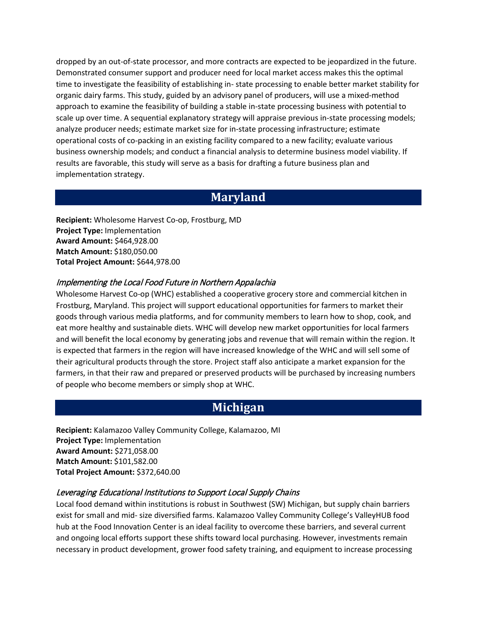dropped by an out-of-state processor, and more contracts are expected to be jeopardized in the future. Demonstrated consumer support and producer need for local market access makes this the optimal time to investigate the feasibility of establishing in- state processing to enable better market stability for organic dairy farms. This study, guided by an advisory panel of producers, will use a mixed-method approach to examine the feasibility of building a stable in-state processing business with potential to scale up over time. A sequential explanatory strategy will appraise previous in-state processing models; analyze producer needs; estimate market size for in-state processing infrastructure; estimate operational costs of co-packing in an existing facility compared to a new facility; evaluate various business ownership models; and conduct a financial analysis to determine business model viability. If results are favorable, this study will serve as a basis for drafting a future business plan and implementation strategy.

## **Maryland**

**Recipient:** Wholesome Harvest Co-op, Frostburg, MD **Project Type:** Implementation **Award Amount:** \$464,928.00 **Match Amount:** \$180,050.00 **Total Project Amount:** \$644,978.00

### Implementing the Local Food Future in Northern Appalachia

Wholesome Harvest Co-op (WHC) established a cooperative grocery store and commercial kitchen in Frostburg, Maryland. This project will support educational opportunities for farmers to market their goods through various media platforms, and for community members to learn how to shop, cook, and eat more healthy and sustainable diets. WHC will develop new market opportunities for local farmers and will benefit the local economy by generating jobs and revenue that will remain within the region. It is expected that farmers in the region will have increased knowledge of the WHC and will sell some of their agricultural products through the store. Project staff also anticipate a market expansion for the farmers, in that their raw and prepared or preserved products will be purchased by increasing numbers of people who become members or simply shop at WHC.

# **Michigan**

**Recipient:** Kalamazoo Valley Community College, Kalamazoo, MI **Project Type:** Implementation **Award Amount:** \$271,058.00 **Match Amount:** \$101,582.00 **Total Project Amount:** \$372,640.00

### Leveraging Educational Institutions to Support Local Supply Chains

Local food demand within institutions is robust in Southwest (SW) Michigan, but supply chain barriers exist for small and mid- size diversified farms. Kalamazoo Valley Community College's ValleyHUB food hub at the Food Innovation Center is an ideal facility to overcome these barriers, and several current and ongoing local efforts support these shifts toward local purchasing. However, investments remain necessary in product development, grower food safety training, and equipment to increase processing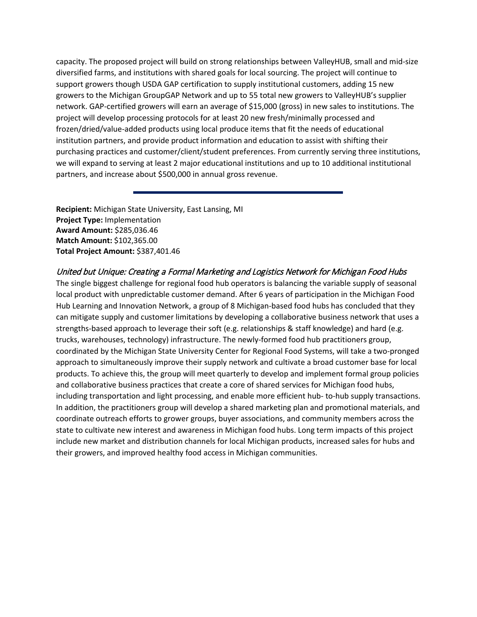capacity. The proposed project will build on strong relationships between ValleyHUB, small and mid-size diversified farms, and institutions with shared goals for local sourcing. The project will continue to support growers though USDA GAP certification to supply institutional customers, adding 15 new growers to the Michigan GroupGAP Network and up to 55 total new growers to ValleyHUB's supplier network. GAP-certified growers will earn an average of \$15,000 (gross) in new sales to institutions. The project will develop processing protocols for at least 20 new fresh/minimally processed and frozen/dried/value-added products using local produce items that fit the needs of educational institution partners, and provide product information and education to assist with shifting their purchasing practices and customer/client/student preferences. From currently serving three institutions, we will expand to serving at least 2 major educational institutions and up to 10 additional institutional partners, and increase about \$500,000 in annual gross revenue.

**Recipient:** Michigan State University, East Lansing, MI **Project Type:** Implementation **Award Amount:** \$285,036.46 **Match Amount:** \$102,365.00 **Total Project Amount:** \$387,401.46

### United but Unique: Creating a Formal Marketing and Logistics Network for Michigan Food Hubs

The single biggest challenge for regional food hub operators is balancing the variable supply of seasonal local product with unpredictable customer demand. After 6 years of participation in the Michigan Food Hub Learning and Innovation Network, a group of 8 Michigan-based food hubs has concluded that they can mitigate supply and customer limitations by developing a collaborative business network that uses a strengths-based approach to leverage their soft (e.g. relationships & staff knowledge) and hard (e.g. trucks, warehouses, technology) infrastructure. The newly-formed food hub practitioners group, coordinated by the Michigan State University Center for Regional Food Systems, will take a two-pronged approach to simultaneously improve their supply network and cultivate a broad customer base for local products. To achieve this, the group will meet quarterly to develop and implement formal group policies and collaborative business practices that create a core of shared services for Michigan food hubs, including transportation and light processing, and enable more efficient hub- to-hub supply transactions. In addition, the practitioners group will develop a shared marketing plan and promotional materials, and coordinate outreach efforts to grower groups, buyer associations, and community members across the state to cultivate new interest and awareness in Michigan food hubs. Long term impacts of this project include new market and distribution channels for local Michigan products, increased sales for hubs and their growers, and improved healthy food access in Michigan communities.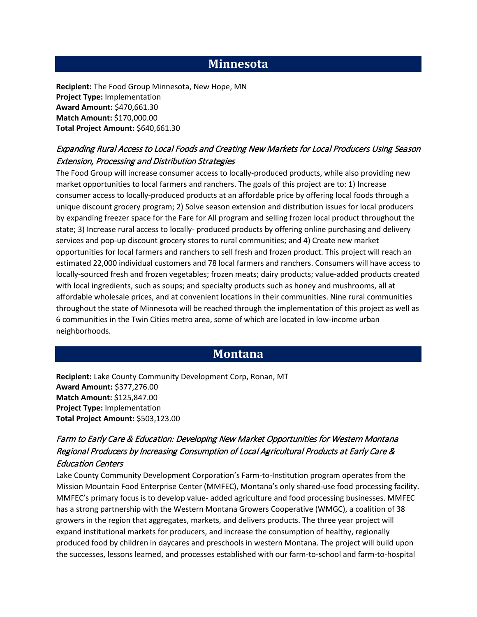# **Minnesota**

**Recipient:** The Food Group Minnesota, New Hope, MN **Project Type:** Implementation **Award Amount:** \$470,661.30 **Match Amount:** \$170,000.00 **Total Project Amount:** \$640,661.30

## Expanding Rural Access to Local Foods and Creating New Markets for Local Producers Using Season Extension, Processing and Distribution Strategies

The Food Group will increase consumer access to locally-produced products, while also providing new market opportunities to local farmers and ranchers. The goals of this project are to: 1) Increase consumer access to locally-produced products at an affordable price by offering local foods through a unique discount grocery program; 2) Solve season extension and distribution issues for local producers by expanding freezer space for the Fare for All program and selling frozen local product throughout the state; 3) Increase rural access to locally- produced products by offering online purchasing and delivery services and pop-up discount grocery stores to rural communities; and 4) Create new market opportunities for local farmers and ranchers to sell fresh and frozen product. This project will reach an estimated 22,000 individual customers and 78 local farmers and ranchers. Consumers will have access to locally-sourced fresh and frozen vegetables; frozen meats; dairy products; value-added products created with local ingredients, such as soups; and specialty products such as honey and mushrooms, all at affordable wholesale prices, and at convenient locations in their communities. Nine rural communities throughout the state of Minnesota will be reached through the implementation of this project as well as 6 communities in the Twin Cities metro area, some of which are located in low-income urban neighborhoods.

# **Montana**

**Recipient:** Lake County Community Development Corp, Ronan, MT **Award Amount:** \$377,276.00 **Match Amount:** \$125,847.00 **Project Type:** Implementation **Total Project Amount:** \$503,123.00

## Farm to Early Care & Education: Developing New Market Opportunities for Western Montana Regional Producers by Increasing Consumption of Local Agricultural Products at Early Care & Education Centers

Lake County Community Development Corporation's Farm-to-Institution program operates from the Mission Mountain Food Enterprise Center (MMFEC), Montana's only shared-use food processing facility. MMFEC's primary focus is to develop value- added agriculture and food processing businesses. MMFEC has a strong partnership with the Western Montana Growers Cooperative (WMGC), a coalition of 38 growers in the region that aggregates, markets, and delivers products. The three year project will expand institutional markets for producers, and increase the consumption of healthy, regionally produced food by children in daycares and preschools in western Montana. The project will build upon the successes, lessons learned, and processes established with our farm-to-school and farm-to-hospital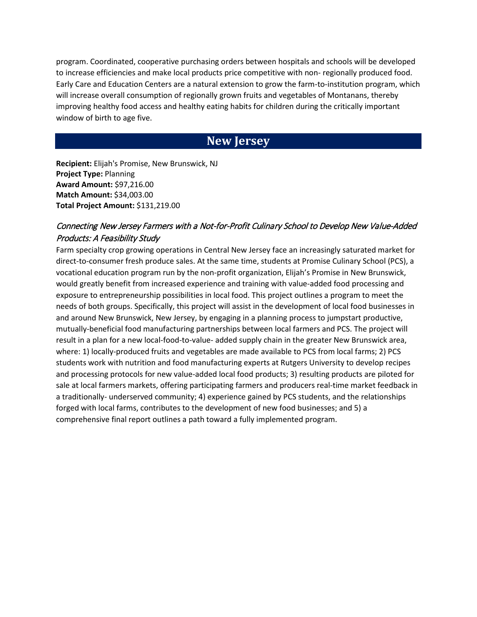program. Coordinated, cooperative purchasing orders between hospitals and schools will be developed to increase efficiencies and make local products price competitive with non- regionally produced food. Early Care and Education Centers are a natural extension to grow the farm-to-institution program, which will increase overall consumption of regionally grown fruits and vegetables of Montanans, thereby improving healthy food access and healthy eating habits for children during the critically important window of birth to age five.

# **New Jersey**

**Recipient:** Elijah's Promise, New Brunswick, NJ **Project Type:** Planning **Award Amount:** \$97,216.00 **Match Amount:** \$34,003.00 **Total Project Amount:** \$131,219.00

### Connecting New Jersey Farmers with a Not-for-Profit Culinary School to Develop New Value-Added Products: A Feasibility Study

Farm specialty crop growing operations in Central New Jersey face an increasingly saturated market for direct-to-consumer fresh produce sales. At the same time, students at Promise Culinary School (PCS), a vocational education program run by the non-profit organization, Elijah's Promise in New Brunswick, would greatly benefit from increased experience and training with value-added food processing and exposure to entrepreneurship possibilities in local food. This project outlines a program to meet the needs of both groups. Specifically, this project will assist in the development of local food businesses in and around New Brunswick, New Jersey, by engaging in a planning process to jumpstart productive, mutually-beneficial food manufacturing partnerships between local farmers and PCS. The project will result in a plan for a new local-food-to-value- added supply chain in the greater New Brunswick area, where: 1) locally-produced fruits and vegetables are made available to PCS from local farms; 2) PCS students work with nutrition and food manufacturing experts at Rutgers University to develop recipes and processing protocols for new value-added local food products; 3) resulting products are piloted for sale at local farmers markets, offering participating farmers and producers real-time market feedback in a traditionally- underserved community; 4) experience gained by PCS students, and the relationships forged with local farms, contributes to the development of new food businesses; and 5) a comprehensive final report outlines a path toward a fully implemented program.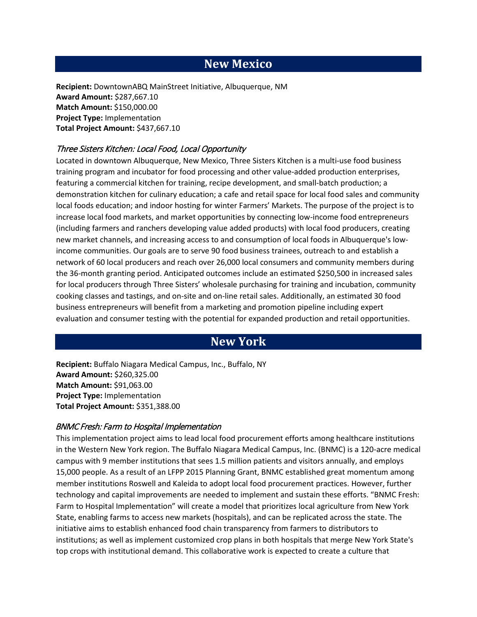# **New Mexico**

**Recipient:** DowntownABQ MainStreet Initiative, Albuquerque, NM **Award Amount:** \$287,667.10 **Match Amount:** \$150,000.00 **Project Type:** Implementation **Total Project Amount:** \$437,667.10

### Three Sisters Kitchen: Local Food, Local Opportunity

Located in downtown Albuquerque, New Mexico, Three Sisters Kitchen is a multi-use food business training program and incubator for food processing and other value-added production enterprises, featuring a commercial kitchen for training, recipe development, and small-batch production; a demonstration kitchen for culinary education; a cafe and retail space for local food sales and community local foods education; and indoor hosting for winter Farmers' Markets. The purpose of the project is to increase local food markets, and market opportunities by connecting low-income food entrepreneurs (including farmers and ranchers developing value added products) with local food producers, creating new market channels, and increasing access to and consumption of local foods in Albuquerque's lowincome communities. Our goals are to serve 90 food business trainees, outreach to and establish a network of 60 local producers and reach over 26,000 local consumers and community members during the 36-month granting period. Anticipated outcomes include an estimated \$250,500 in increased sales for local producers through Three Sisters' wholesale purchasing for training and incubation, community cooking classes and tastings, and on-site and on-line retail sales. Additionally, an estimated 30 food business entrepreneurs will benefit from a marketing and promotion pipeline including expert evaluation and consumer testing with the potential for expanded production and retail opportunities.

# **New York**

**Recipient:** Buffalo Niagara Medical Campus, Inc., Buffalo, NY **Award Amount:** \$260,325.00 **Match Amount:** \$91,063.00 **Project Type:** Implementation **Total Project Amount:** \$351,388.00

#### BNMC Fresh: Farm to Hospital Implementation

This implementation project aims to lead local food procurement efforts among healthcare institutions in the Western New York region. The Buffalo Niagara Medical Campus, Inc. (BNMC) is a 120-acre medical campus with 9 member institutions that sees 1.5 million patients and visitors annually, and employs 15,000 people. As a result of an LFPP 2015 Planning Grant, BNMC established great momentum among member institutions Roswell and Kaleida to adopt local food procurement practices. However, further technology and capital improvements are needed to implement and sustain these efforts. "BNMC Fresh: Farm to Hospital Implementation" will create a model that prioritizes local agriculture from New York State, enabling farms to access new markets (hospitals), and can be replicated across the state. The initiative aims to establish enhanced food chain transparency from farmers to distributors to institutions; as well as implement customized crop plans in both hospitals that merge New York State's top crops with institutional demand. This collaborative work is expected to create a culture that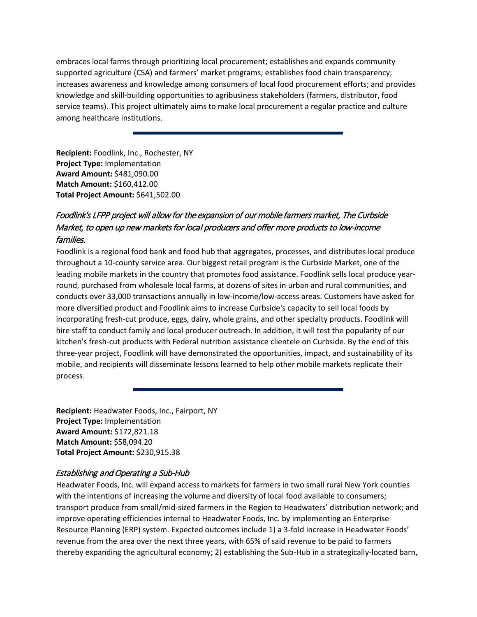embraces local farms through prioritizing local procurement; establishes and expands community supported agriculture (CSA) and farmers' market programs; establishes food chain transparency; increases awareness and knowledge among consumers of local food procurement efforts; and provides knowledge and skill-building opportunities to agribusiness stakeholders (farmers, distributor, food service teams). This project ultimately aims to make local procurement a regular practice and culture among healthcare institutions.

**Recipient:** Foodlink, Inc., Rochester, NY **Project Type:** Implementation **Award Amount:** \$481,090.00 **Match Amount:** \$160,412.00 **Total Project Amount:** \$641,502.00

## Foodlink's LFPP project will allow for the expansion of our mobile farmers market, The Curbside Market, to open up new markets for local producers and offer more products to low-income families.

Foodlink is a regional food bank and food hub that aggregates, processes, and distributes local produce throughout a 10-county service area. Our biggest retail program is the Curbside Market, one of the leading mobile markets in the country that promotes food assistance. Foodlink sells local produce yearround, purchased from wholesale local farms, at dozens of sites in urban and rural communities, and conducts over 33,000 transactions annually in low-income/low-access areas. Customers have asked for more diversified product and Foodlink aims to increase Curbside's capacity to sell local foods by incorporating fresh-cut produce, eggs, dairy, whole grains, and other specialty products. Foodlink will hire staff to conduct family and local producer outreach. In addition, it will test the popularity of our kitchen's fresh-cut products with Federal nutrition assistance clientele on Curbside. By the end of this three-year project, Foodlink will have demonstrated the opportunities, impact, and sustainability of its mobile, and recipients will disseminate lessons learned to help other mobile markets replicate their process.

**Recipient:** Headwater Foods, Inc., Fairport, NY **Project Type:** Implementation **Award Amount:** \$172,821.18 **Match Amount:** \$58,094.20 **Total Project Amount:** \$230,915.38

### Establishing and Operating a Sub-Hub

Headwater Foods, Inc. will expand access to markets for farmers in two small rural New York counties with the intentions of increasing the volume and diversity of local food available to consumers; transport produce from small/mid-sized farmers in the Region to Headwaters' distribution network; and improve operating efficiencies internal to Headwater Foods, Inc. by implementing an Enterprise Resource Planning (ERP) system. Expected outcomes include 1) a 3-fold increase in Headwater Foods' revenue from the area over the next three years, with 65% of said revenue to be paid to farmers thereby expanding the agricultural economy; 2) establishing the Sub-Hub in a strategically-located barn,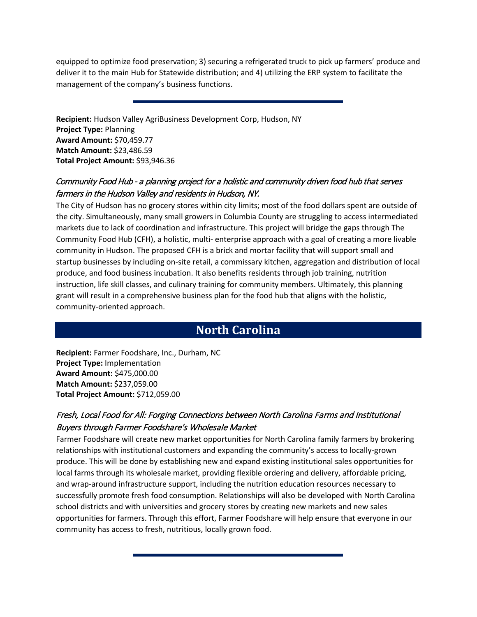equipped to optimize food preservation; 3) securing a refrigerated truck to pick up farmers' produce and deliver it to the main Hub for Statewide distribution; and 4) utilizing the ERP system to facilitate the management of the company's business functions.

**Recipient:** Hudson Valley AgriBusiness Development Corp, Hudson, NY **Project Type:** Planning **Award Amount:** \$70,459.77 **Match Amount:** \$23,486.59 **Total Project Amount:** \$93,946.36

## Community Food Hub - a planning project for a holistic and community driven food hub that serves farmers in the Hudson Valley and residents in Hudson, NY.

The City of Hudson has no grocery stores within city limits; most of the food dollars spent are outside of the city. Simultaneously, many small growers in Columbia County are struggling to access intermediated markets due to lack of coordination and infrastructure. This project will bridge the gaps through The Community Food Hub (CFH), a holistic, multi- enterprise approach with a goal of creating a more livable community in Hudson. The proposed CFH is a brick and mortar facility that will support small and startup businesses by including on-site retail, a commissary kitchen, aggregation and distribution of local produce, and food business incubation. It also benefits residents through job training, nutrition instruction, life skill classes, and culinary training for community members. Ultimately, this planning grant will result in a comprehensive business plan for the food hub that aligns with the holistic, community-oriented approach.

# **North Carolina**

**Recipient:** Farmer Foodshare, Inc., Durham, NC **Project Type:** Implementation **Award Amount:** \$475,000.00 **Match Amount:** \$237,059.00 **Total Project Amount:** \$712,059.00

## Fresh, Local Food for All: Forging Connections between North Carolina Farms and Institutional Buyers through Farmer Foodshare's Wholesale Market

Farmer Foodshare will create new market opportunities for North Carolina family farmers by brokering relationships with institutional customers and expanding the community's access to locally-grown produce. This will be done by establishing new and expand existing institutional sales opportunities for local farms through its wholesale market, providing flexible ordering and delivery, affordable pricing, and wrap-around infrastructure support, including the nutrition education resources necessary to successfully promote fresh food consumption. Relationships will also be developed with North Carolina school districts and with universities and grocery stores by creating new markets and new sales opportunities for farmers. Through this effort, Farmer Foodshare will help ensure that everyone in our community has access to fresh, nutritious, locally grown food.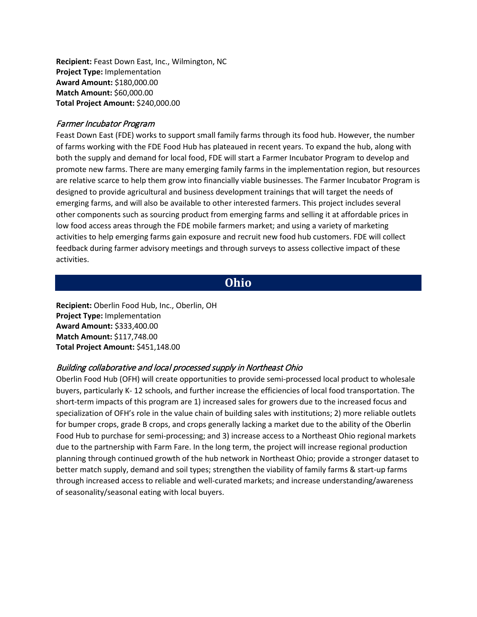**Recipient:** Feast Down East, Inc., Wilmington, NC **Project Type:** Implementation **Award Amount:** \$180,000.00 **Match Amount:** \$60,000.00 **Total Project Amount:** \$240,000.00

#### Farmer Incubator Program

Feast Down East (FDE) works to support small family farms through its food hub. However, the number of farms working with the FDE Food Hub has plateaued in recent years. To expand the hub, along with both the supply and demand for local food, FDE will start a Farmer Incubator Program to develop and promote new farms. There are many emerging family farms in the implementation region, but resources are relative scarce to help them grow into financially viable businesses. The Farmer Incubator Program is designed to provide agricultural and business development trainings that will target the needs of emerging farms, and will also be available to other interested farmers. This project includes several other components such as sourcing product from emerging farms and selling it at affordable prices in low food access areas through the FDE mobile farmers market; and using a variety of marketing activities to help emerging farms gain exposure and recruit new food hub customers. FDE will collect feedback during farmer advisory meetings and through surveys to assess collective impact of these activities.

## **Ohio**

**Recipient:** Oberlin Food Hub, Inc., Oberlin, OH **Project Type:** Implementation **Award Amount:** \$333,400.00 **Match Amount:** \$117,748.00 **Total Project Amount:** \$451,148.00

### Building collaborative and local processed supply in Northeast Ohio

Oberlin Food Hub (OFH) will create opportunities to provide semi-processed local product to wholesale buyers, particularly K- 12 schools, and further increase the efficiencies of local food transportation. The short-term impacts of this program are 1) increased sales for growers due to the increased focus and specialization of OFH's role in the value chain of building sales with institutions; 2) more reliable outlets for bumper crops, grade B crops, and crops generally lacking a market due to the ability of the Oberlin Food Hub to purchase for semi-processing; and 3) increase access to a Northeast Ohio regional markets due to the partnership with Farm Fare. In the long term, the project will increase regional production planning through continued growth of the hub network in Northeast Ohio; provide a stronger dataset to better match supply, demand and soil types; strengthen the viability of family farms & start-up farms through increased access to reliable and well-curated markets; and increase understanding/awareness of seasonality/seasonal eating with local buyers.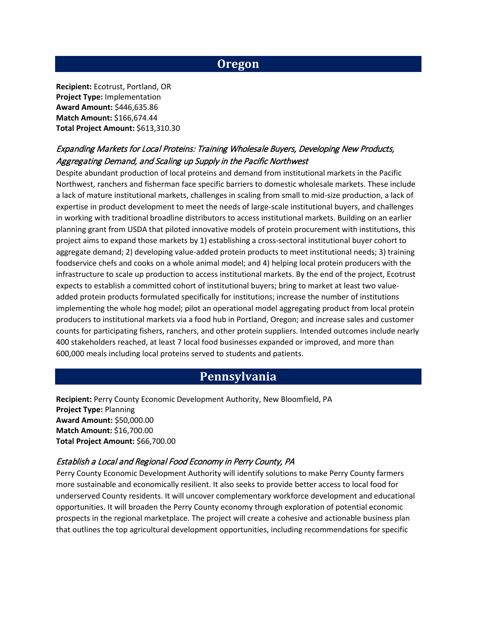## **Oregon**

**Recipient:** Ecotrust, Portland, OR **Project Type:** Implementation **Award Amount:** \$446,635.86 **Match Amount:** \$166,674.44 **Total Project Amount:** \$613,310.30

## Expanding Markets for Local Proteins: Training Wholesale Buyers, Developing New Products, Aggregating Demand, and Scaling up Supply in the Pacific Northwest

Despite abundant production of local proteins and demand from institutional markets in the Pacific Northwest, ranchers and fisherman face specific barriers to domestic wholesale markets. These include a lack of mature institutional markets, challenges in scaling from small to mid-size production, a lack of expertise in product development to meet the needs of large-scale institutional buyers, and challenges in working with traditional broadline distributors to access institutional markets. Building on an earlier planning grant from USDA that piloted innovative models of protein procurement with institutions, this project aims to expand those markets by 1) establishing a cross-sectoral institutional buyer cohort to aggregate demand; 2) developing value-added protein products to meet institutional needs; 3) training foodservice chefs and cooks on a whole animal model; and 4) helping local protein producers with the infrastructure to scale up production to access institutional markets. By the end of the project, Ecotrust expects to establish a committed cohort of institutional buyers; bring to market at least two valueadded protein products formulated specifically for institutions; increase the number of institutions implementing the whole hog model; pilot an operational model aggregating product from local protein producers to institutional markets via a food hub in Portland, Oregon; and increase sales and customer counts for participating fishers, ranchers, and other protein suppliers. Intended outcomes include nearly 400 stakeholders reached, at least 7 local food businesses expanded or improved, and more than 600,000 meals including local proteins served to students and patients.

## **Pennsylvania**

**Recipient:** Perry County Economic Development Authority, New Bloomfield, PA **Project Type:** Planning **Award Amount:** \$50,000.00 **Match Amount:** \$16,700.00 **Total Project Amount:** \$66,700.00

#### Establish a Local and Regional Food Economy in Perry County, PA

Perry County Economic Development Authority will identify solutions to make Perry County farmers more sustainable and economically resilient. It also seeks to provide better access to local food for underserved County residents. It will uncover complementary workforce development and educational opportunities. It will broaden the Perry County economy through exploration of potential economic prospects in the regional marketplace. The project will create a cohesive and actionable business plan that outlines the top agricultural development opportunities, including recommendations for specific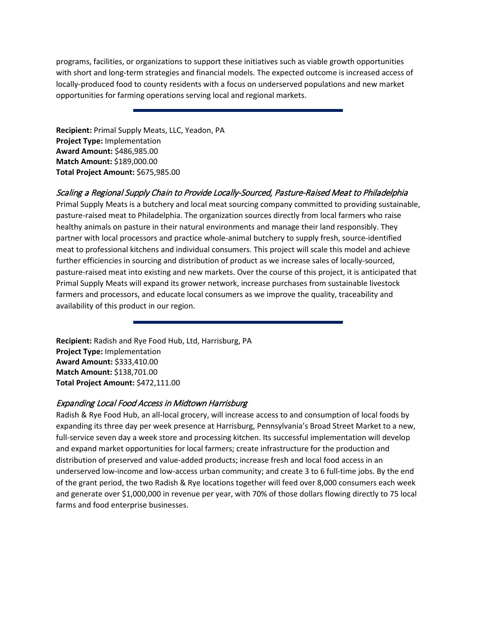programs, facilities, or organizations to support these initiatives such as viable growth opportunities with short and long-term strategies and financial models. The expected outcome is increased access of locally-produced food to county residents with a focus on underserved populations and new market opportunities for farming operations serving local and regional markets.

**Recipient:** Primal Supply Meats, LLC, Yeadon, PA **Project Type:** Implementation **Award Amount:** \$486,985.00 **Match Amount:** \$189,000.00 **Total Project Amount:** \$675,985.00

#### Scaling a Regional Supply Chain to Provide Locally-Sourced, Pasture-Raised Meat to Philadelphia

Primal Supply Meats is a butchery and local meat sourcing company committed to providing sustainable, pasture-raised meat to Philadelphia. The organization sources directly from local farmers who raise healthy animals on pasture in their natural environments and manage their land responsibly. They partner with local processors and practice whole-animal butchery to supply fresh, source-identified meat to professional kitchens and individual consumers. This project will scale this model and achieve further efficiencies in sourcing and distribution of product as we increase sales of locally-sourced, pasture-raised meat into existing and new markets. Over the course of this project, it is anticipated that Primal Supply Meats will expand its grower network, increase purchases from sustainable livestock farmers and processors, and educate local consumers as we improve the quality, traceability and availability of this product in our region.

**Recipient:** Radish and Rye Food Hub, Ltd, Harrisburg, PA **Project Type:** Implementation **Award Amount:** \$333,410.00 **Match Amount:** \$138,701.00 **Total Project Amount:** \$472,111.00

### Expanding Local Food Access in Midtown Harrisburg

Radish & Rye Food Hub, an all-local grocery, will increase access to and consumption of local foods by expanding its three day per week presence at Harrisburg, Pennsylvania's Broad Street Market to a new, full-service seven day a week store and processing kitchen. Its successful implementation will develop and expand market opportunities for local farmers; create infrastructure for the production and distribution of preserved and value-added products; increase fresh and local food access in an underserved low-income and low-access urban community; and create 3 to 6 full-time jobs. By the end of the grant period, the two Radish & Rye locations together will feed over 8,000 consumers each week and generate over \$1,000,000 in revenue per year, with 70% of those dollars flowing directly to 75 local farms and food enterprise businesses.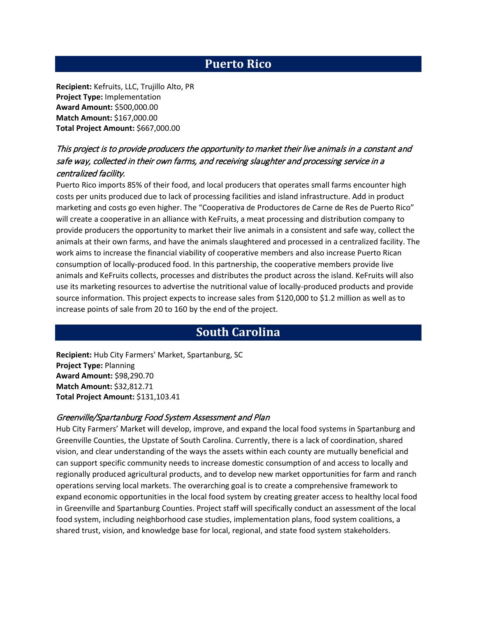# **Puerto Rico**

**Recipient:** Kefruits, LLC, Trujillo Alto, PR **Project Type:** Implementation **Award Amount:** \$500,000.00 **Match Amount:** \$167,000.00 **Total Project Amount:** \$667,000.00

## This project is to provide producers the opportunity to market their live animals in a constant and safe way, collected in their own farms, and receiving slaughter and processing service in a centralized facility.

Puerto Rico imports 85% of their food, and local producers that operates small farms encounter high costs per units produced due to lack of processing facilities and island infrastructure. Add in product marketing and costs go even higher. The "Cooperativa de Productores de Carne de Res de Puerto Rico" will create a cooperative in an alliance with KeFruits, a meat processing and distribution company to provide producers the opportunity to market their live animals in a consistent and safe way, collect the animals at their own farms, and have the animals slaughtered and processed in a centralized facility. The work aims to increase the financial viability of cooperative members and also increase Puerto Rican consumption of locally-produced food. In this partnership, the cooperative members provide live animals and KeFruits collects, processes and distributes the product across the island. KeFruits will also use its marketing resources to advertise the nutritional value of locally-produced products and provide source information. This project expects to increase sales from \$120,000 to \$1.2 million as well as to increase points of sale from 20 to 160 by the end of the project.

## **South Carolina**

**Recipient:** Hub City Farmers' Market, Spartanburg, SC **Project Type:** Planning **Award Amount:** \$98,290.70 **Match Amount:** \$32,812.71 **Total Project Amount:** \$131,103.41

#### Greenville/Spartanburg Food System Assessment and Plan

Hub City Farmers' Market will develop, improve, and expand the local food systems in Spartanburg and Greenville Counties, the Upstate of South Carolina. Currently, there is a lack of coordination, shared vision, and clear understanding of the ways the assets within each county are mutually beneficial and can support specific community needs to increase domestic consumption of and access to locally and regionally produced agricultural products, and to develop new market opportunities for farm and ranch operations serving local markets. The overarching goal is to create a comprehensive framework to expand economic opportunities in the local food system by creating greater access to healthy local food in Greenville and Spartanburg Counties. Project staff will specifically conduct an assessment of the local food system, including neighborhood case studies, implementation plans, food system coalitions, a shared trust, vision, and knowledge base for local, regional, and state food system stakeholders.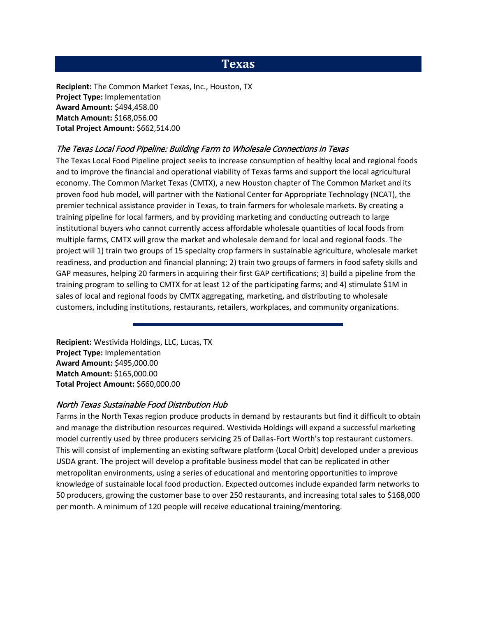## **Texas**

**Recipient:** The Common Market Texas, Inc., Houston, TX **Project Type:** Implementation **Award Amount:** \$494,458.00 **Match Amount:** \$168,056.00 **Total Project Amount:** \$662,514.00

#### The Texas Local Food Pipeline: Building Farm to Wholesale Connections in Texas

The Texas Local Food Pipeline project seeks to increase consumption of healthy local and regional foods and to improve the financial and operational viability of Texas farms and support the local agricultural economy. The Common Market Texas (CMTX), a new Houston chapter of The Common Market and its proven food hub model, will partner with the National Center for Appropriate Technology (NCAT), the premier technical assistance provider in Texas, to train farmers for wholesale markets. By creating a training pipeline for local farmers, and by providing marketing and conducting outreach to large institutional buyers who cannot currently access affordable wholesale quantities of local foods from multiple farms, CMTX will grow the market and wholesale demand for local and regional foods. The project will 1) train two groups of 15 specialty crop farmers in sustainable agriculture, wholesale market readiness, and production and financial planning; 2) train two groups of farmers in food safety skills and GAP measures, helping 20 farmers in acquiring their first GAP certifications; 3) build a pipeline from the training program to selling to CMTX for at least 12 of the participating farms; and 4) stimulate \$1M in sales of local and regional foods by CMTX aggregating, marketing, and distributing to wholesale customers, including institutions, restaurants, retailers, workplaces, and community organizations.

**Recipient:** Westivida Holdings, LLC, Lucas, TX **Project Type:** Implementation **Award Amount:** \$495,000.00 **Match Amount:** \$165,000.00 **Total Project Amount:** \$660,000.00

#### North Texas Sustainable Food Distribution Hub

Farms in the North Texas region produce products in demand by restaurants but find it difficult to obtain and manage the distribution resources required. Westivida Holdings will expand a successful marketing model currently used by three producers servicing 25 of Dallas-Fort Worth's top restaurant customers. This will consist of implementing an existing software platform (Local Orbit) developed under a previous USDA grant. The project will develop a profitable business model that can be replicated in other metropolitan environments, using a series of educational and mentoring opportunities to improve knowledge of sustainable local food production. Expected outcomes include expanded farm networks to 50 producers, growing the customer base to over 250 restaurants, and increasing total sales to \$168,000 per month. A minimum of 120 people will receive educational training/mentoring.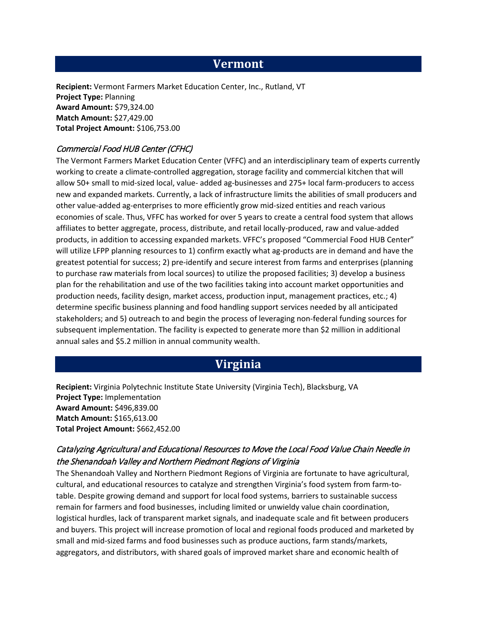## **Vermont**

**Recipient:** Vermont Farmers Market Education Center, Inc., Rutland, VT **Project Type:** Planning **Award Amount:** \$79,324.00 **Match Amount:** \$27,429.00 **Total Project Amount:** \$106,753.00

### Commercial Food HUB Center (CFHC)

The Vermont Farmers Market Education Center (VFFC) and an interdisciplinary team of experts currently working to create a climate-controlled aggregation, storage facility and commercial kitchen that will allow 50+ small to mid-sized local, value- added ag-businesses and 275+ local farm-producers to access new and expanded markets. Currently, a lack of infrastructure limits the abilities of small producers and other value-added ag-enterprises to more efficiently grow mid-sized entities and reach various economies of scale. Thus, VFFC has worked for over 5 years to create a central food system that allows affiliates to better aggregate, process, distribute, and retail locally-produced, raw and value-added products, in addition to accessing expanded markets. VFFC's proposed "Commercial Food HUB Center" will utilize LFPP planning resources to 1) confirm exactly what ag-products are in demand and have the greatest potential for success; 2) pre-identify and secure interest from farms and enterprises (planning to purchase raw materials from local sources) to utilize the proposed facilities; 3) develop a business plan for the rehabilitation and use of the two facilities taking into account market opportunities and production needs, facility design, market access, production input, management practices, etc.; 4) determine specific business planning and food handling support services needed by all anticipated stakeholders; and 5) outreach to and begin the process of leveraging non-federal funding sources for subsequent implementation. The facility is expected to generate more than \$2 million in additional annual sales and \$5.2 million in annual community wealth.

## **Virginia**

**Recipient:** Virginia Polytechnic Institute State University (Virginia Tech), Blacksburg, VA **Project Type:** Implementation **Award Amount:** \$496,839.00 **Match Amount:** \$165,613.00 **Total Project Amount:** \$662,452.00

### Catalyzing Agricultural and Educational Resources to Move the Local Food Value Chain Needle in the Shenandoah Valley and Northern Piedmont Regions of Virginia

The Shenandoah Valley and Northern Piedmont Regions of Virginia are fortunate to have agricultural, cultural, and educational resources to catalyze and strengthen Virginia's food system from farm-totable. Despite growing demand and support for local food systems, barriers to sustainable success remain for farmers and food businesses, including limited or unwieldy value chain coordination, logistical hurdles, lack of transparent market signals, and inadequate scale and fit between producers and buyers. This project will increase promotion of local and regional foods produced and marketed by small and mid-sized farms and food businesses such as produce auctions, farm stands/markets, aggregators, and distributors, with shared goals of improved market share and economic health of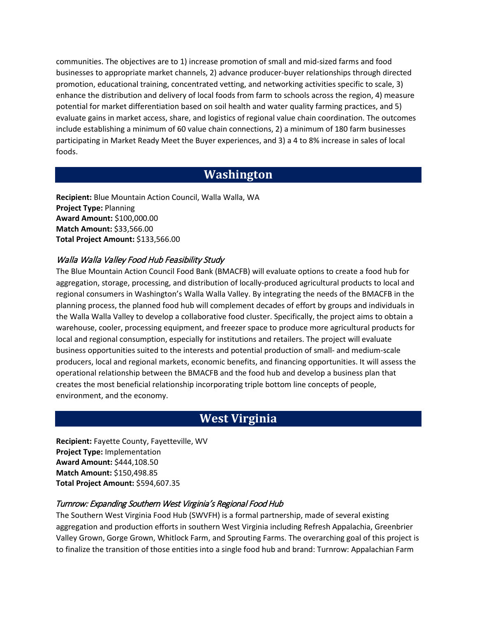communities. The objectives are to 1) increase promotion of small and mid-sized farms and food businesses to appropriate market channels, 2) advance producer-buyer relationships through directed promotion, educational training, concentrated vetting, and networking activities specific to scale, 3) enhance the distribution and delivery of local foods from farm to schools across the region, 4) measure potential for market differentiation based on soil health and water quality farming practices, and 5) evaluate gains in market access, share, and logistics of regional value chain coordination. The outcomes include establishing a minimum of 60 value chain connections, 2) a minimum of 180 farm businesses participating in Market Ready Meet the Buyer experiences, and 3) a 4 to 8% increase in sales of local foods.

# **Washington**

**Recipient:** Blue Mountain Action Council, Walla Walla, WA **Project Type:** Planning **Award Amount:** \$100,000.00 **Match Amount:** \$33,566.00 **Total Project Amount:** \$133,566.00

### Walla Walla Valley Food Hub Feasibility Study

The Blue Mountain Action Council Food Bank (BMACFB) will evaluate options to create a food hub for aggregation, storage, processing, and distribution of locally-produced agricultural products to local and regional consumers in Washington's Walla Walla Valley. By integrating the needs of the BMACFB in the planning process, the planned food hub will complement decades of effort by groups and individuals in the Walla Walla Valley to develop a collaborative food cluster. Specifically, the project aims to obtain a warehouse, cooler, processing equipment, and freezer space to produce more agricultural products for local and regional consumption, especially for institutions and retailers. The project will evaluate business opportunities suited to the interests and potential production of small- and medium-scale producers, local and regional markets, economic benefits, and financing opportunities. It will assess the operational relationship between the BMACFB and the food hub and develop a business plan that creates the most beneficial relationship incorporating triple bottom line concepts of people, environment, and the economy.

# **West Virginia**

**Recipient:** Fayette County, Fayetteville, WV **Project Type:** Implementation **Award Amount:** \$444,108.50 **Match Amount:** \$150,498.85 **Total Project Amount:** \$594,607.35

### Turnrow: Expanding Southern West Virginia's Regional Food Hub

The Southern West Virginia Food Hub (SWVFH) is a formal partnership, made of several existing aggregation and production efforts in southern West Virginia including Refresh Appalachia, Greenbrier Valley Grown, Gorge Grown, Whitlock Farm, and Sprouting Farms. The overarching goal of this project is to finalize the transition of those entities into a single food hub and brand: Turnrow: Appalachian Farm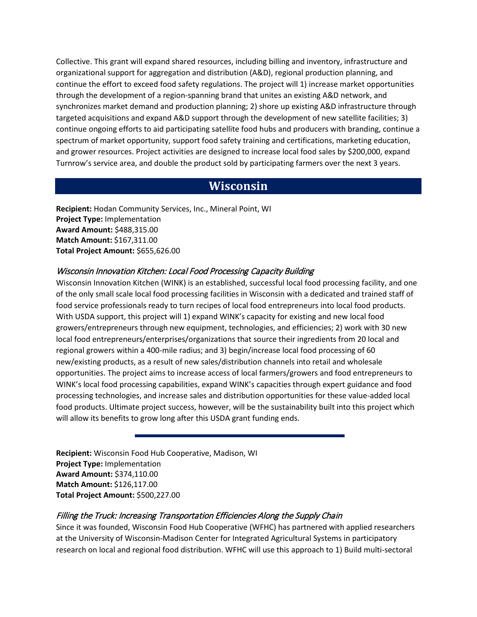Collective. This grant will expand shared resources, including billing and inventory, infrastructure and organizational support for aggregation and distribution (A&D), regional production planning, and continue the effort to exceed food safety regulations. The project will 1) increase market opportunities through the development of a region-spanning brand that unites an existing A&D network, and synchronizes market demand and production planning; 2) shore up existing A&D infrastructure through targeted acquisitions and expand A&D support through the development of new satellite facilities; 3) continue ongoing efforts to aid participating satellite food hubs and producers with branding, continue a spectrum of market opportunity, support food safety training and certifications, marketing education, and grower resources. Project activities are designed to increase local food sales by \$200,000, expand Turnrow's service area, and double the product sold by participating farmers over the next 3 years.

# **Wisconsin**

**Recipient:** Hodan Community Services, Inc., Mineral Point, WI **Project Type:** Implementation **Award Amount:** \$488,315.00 **Match Amount:** \$167,311.00 **Total Project Amount:** \$655,626.00

### Wisconsin Innovation Kitchen: Local Food Processing Capacity Building

Wisconsin Innovation Kitchen (WINK) is an established, successful local food processing facility, and one of the only small scale local food processing facilities in Wisconsin with a dedicated and trained staff of food service professionals ready to turn recipes of local food entrepreneurs into local food products. With USDA support, this project will 1) expand WINK's capacity for existing and new local food growers/entrepreneurs through new equipment, technologies, and efficiencies; 2) work with 30 new local food entrepreneurs/enterprises/organizations that source their ingredients from 20 local and regional growers within a 400-mile radius; and 3) begin/increase local food processing of 60 new/existing products, as a result of new sales/distribution channels into retail and wholesale opportunities. The project aims to increase access of local farmers/growers and food entrepreneurs to WINK's local food processing capabilities, expand WINK's capacities through expert guidance and food processing technologies, and increase sales and distribution opportunities for these value-added local food products. Ultimate project success, however, will be the sustainability built into this project which will allow its benefits to grow long after this USDA grant funding ends.

**Recipient:** Wisconsin Food Hub Cooperative, Madison, WI **Project Type:** Implementation **Award Amount:** \$374,110.00 **Match Amount:** \$126,117.00 **Total Project Amount:** \$500,227.00

### Filling the Truck: Increasing Transportation Efficiencies Along the Supply Chain

Since it was founded, Wisconsin Food Hub Cooperative (WFHC) has partnered with applied researchers at the University of Wisconsin-Madison Center for Integrated Agricultural Systems in participatory research on local and regional food distribution. WFHC will use this approach to 1) Build multi-sectoral